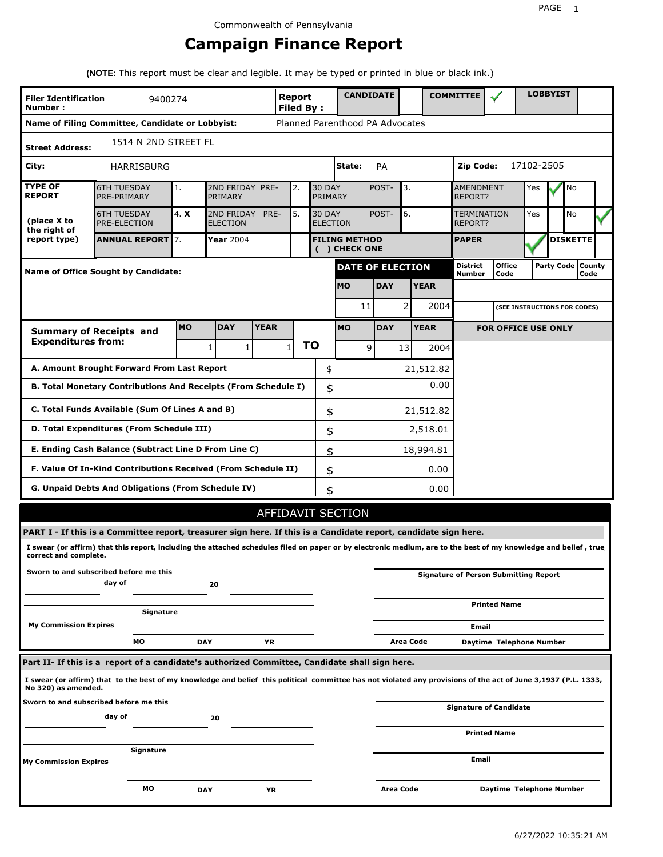# **Campaign Finance Report**

**(NOTE:** This report must be clear and legible. It may be typed or printed in blue or black ink.)

| <b>Filer Identification</b><br>Number:          | 9400274                                                                                                                                                         |           |                                                                                 |                                                                  | <b>Report</b><br><b>Filed By:</b> |       | <b>CANDIDATE</b>                     |                                    |             | <b>COMMITTEE</b>                 |                                              |            | <b>LOBBYIST</b>     |      |  |
|-------------------------------------------------|-----------------------------------------------------------------------------------------------------------------------------------------------------------------|-----------|---------------------------------------------------------------------------------|------------------------------------------------------------------|-----------------------------------|-------|--------------------------------------|------------------------------------|-------------|----------------------------------|----------------------------------------------|------------|---------------------|------|--|
|                                                 | Name of Filing Committee, Candidate or Lobbyist:                                                                                                                |           |                                                                                 |                                                                  |                                   |       | Planned Parenthood PA Advocates      |                                    |             |                                  |                                              |            |                     |      |  |
| 1514 N 2ND STREET FL<br><b>Street Address:</b>  |                                                                                                                                                                 |           |                                                                                 |                                                                  |                                   |       |                                      |                                    |             |                                  |                                              |            |                     |      |  |
| City:                                           | HARRISBURG                                                                                                                                                      |           |                                                                                 |                                                                  |                                   |       | State:                               | PA                                 |             | Zip Code:                        |                                              | 17102-2505 |                     |      |  |
| <b>TYPE OF</b><br><b>REPORT</b>                 | <b>6TH TUESDAY</b><br>PRE-PRIMARY                                                                                                                               | 1.        | PRIMARY                                                                         | 2ND FRIDAY PRE-<br><b>30 DAY</b><br>POST-<br>3.<br>2.<br>PRIMARY |                                   |       |                                      | <b>AMENDMENT</b><br><b>REPORT?</b> |             | Yes                              |                                              | No         |                     |      |  |
| (place X to<br>the right of                     | <b>6TH TUESDAY</b><br><b>PRE-ELECTION</b>                                                                                                                       | 4. X      | 2ND FRIDAY<br>PRE-<br>5.<br><b>30 DAY</b><br><b>ELECTION</b><br><b>ELECTION</b> |                                                                  |                                   | POST- | 6.                                   | <b>TERMINATION</b><br>REPORT?      |             | Yes                              |                                              | No         |                     |      |  |
| report type)                                    | <b>ANNUAL REPORT 7.</b>                                                                                                                                         |           | Year 2004                                                                       |                                                                  |                                   |       | <b>FILING METHOD</b><br>() CHECK ONE |                                    |             | <b>PAPER</b>                     |                                              |            | <b>DISKETTE</b>     |      |  |
|                                                 | Name of Office Sought by Candidate:                                                                                                                             |           |                                                                                 |                                                                  |                                   |       | <b>DATE OF ELECTION</b>              |                                    |             | <b>District</b><br><b>Number</b> | <b>Office</b><br>Code                        |            | Party Code   County | Code |  |
|                                                 |                                                                                                                                                                 |           |                                                                                 |                                                                  |                                   |       | <b>MO</b>                            | <b>DAY</b>                         | <b>YEAR</b> |                                  |                                              |            |                     |      |  |
|                                                 |                                                                                                                                                                 |           |                                                                                 |                                                                  |                                   |       | 11                                   |                                    | 2<br>2004   |                                  | (SEE INSTRUCTIONS FOR CODES)                 |            |                     |      |  |
|                                                 | <b>Summary of Receipts and</b>                                                                                                                                  | <b>MO</b> | <b>DAY</b>                                                                      | <b>YEAR</b>                                                      |                                   |       | <b>MO</b>                            | <b>DAY</b>                         | <b>YEAR</b> |                                  | <b>FOR OFFICE USE ONLY</b>                   |            |                     |      |  |
| <b>Expenditures from:</b>                       |                                                                                                                                                                 |           | 1<br>1                                                                          |                                                                  | $\mathbf{1}$                      | ΤO    | 9                                    | 13                                 | 2004        |                                  |                                              |            |                     |      |  |
|                                                 | A. Amount Brought Forward From Last Report                                                                                                                      |           |                                                                                 |                                                                  |                                   | \$    |                                      |                                    | 21,512.82   |                                  |                                              |            |                     |      |  |
|                                                 | B. Total Monetary Contributions And Receipts (From Schedule I)                                                                                                  |           |                                                                                 |                                                                  |                                   | \$    | 0.00                                 |                                    |             |                                  |                                              |            |                     |      |  |
| C. Total Funds Available (Sum Of Lines A and B) |                                                                                                                                                                 |           |                                                                                 |                                                                  |                                   | \$    |                                      |                                    | 21,512.82   |                                  |                                              |            |                     |      |  |
|                                                 | D. Total Expenditures (From Schedule III)                                                                                                                       |           |                                                                                 |                                                                  |                                   | \$    |                                      |                                    | 2,518.01    |                                  |                                              |            |                     |      |  |
|                                                 | E. Ending Cash Balance (Subtract Line D From Line C)                                                                                                            |           |                                                                                 |                                                                  |                                   | \$    |                                      |                                    | 18,994.81   |                                  |                                              |            |                     |      |  |
|                                                 | F. Value Of In-Kind Contributions Received (From Schedule II)                                                                                                   |           |                                                                                 |                                                                  |                                   | \$    |                                      |                                    | 0.00        |                                  |                                              |            |                     |      |  |
|                                                 | <b>G. Unpaid Debts And Obligations (From Schedule IV)</b>                                                                                                       |           |                                                                                 |                                                                  |                                   |       | 0.00<br>\$                           |                                    |             |                                  |                                              |            |                     |      |  |
|                                                 |                                                                                                                                                                 |           |                                                                                 |                                                                  |                                   |       | AFFIDAVIT SECTION                    |                                    |             |                                  |                                              |            |                     |      |  |
|                                                 | PART I - If this is a Committee report, treasurer sign here. If this is a Candidate report, candidate sign here.                                                |           |                                                                                 |                                                                  |                                   |       |                                      |                                    |             |                                  |                                              |            |                     |      |  |
| correct and complete.                           | I swear (or affirm) that this report, including the attached schedules filed on paper or by electronic medium, are to the best of my knowledge and belief, true |           |                                                                                 |                                                                  |                                   |       |                                      |                                    |             |                                  |                                              |            |                     |      |  |
|                                                 | Sworn to and subscribed before me this<br>day of                                                                                                                |           | 20                                                                              |                                                                  |                                   |       |                                      |                                    |             |                                  | <b>Signature of Person Submitting Report</b> |            |                     |      |  |
|                                                 | Signature                                                                                                                                                       |           |                                                                                 |                                                                  |                                   |       |                                      |                                    |             |                                  | <b>Printed Name</b>                          |            |                     |      |  |
| <b>My Commission Expires</b>                    |                                                                                                                                                                 |           |                                                                                 |                                                                  |                                   |       |                                      |                                    |             | Email                            |                                              |            |                     |      |  |
|                                                 | МO                                                                                                                                                              |           | <b>DAY</b>                                                                      | YR                                                               |                                   |       |                                      |                                    | Area Code   |                                  | Daytime Telephone Number                     |            |                     |      |  |
|                                                 | Part II- If this is a report of a candidate's authorized Committee, Candidate shall sign here.                                                                  |           |                                                                                 |                                                                  |                                   |       |                                      |                                    |             |                                  |                                              |            |                     |      |  |
| No 320) as amended.                             | I swear (or affirm) that to the best of my knowledge and belief this political committee has not violated any provisions of the act of June 3,1937 (P.L. 1333,  |           |                                                                                 |                                                                  |                                   |       |                                      |                                    |             |                                  |                                              |            |                     |      |  |
|                                                 | Sworn to and subscribed before me this<br>day of                                                                                                                |           | 20                                                                              |                                                                  |                                   |       |                                      |                                    |             |                                  | <b>Signature of Candidate</b>                |            |                     |      |  |
|                                                 |                                                                                                                                                                 |           |                                                                                 |                                                                  |                                   |       |                                      |                                    |             |                                  | <b>Printed Name</b>                          |            |                     |      |  |
| My Commission Expires                           | Signature                                                                                                                                                       |           |                                                                                 |                                                                  |                                   |       |                                      |                                    |             | Email                            |                                              |            |                     |      |  |
|                                                 | МO                                                                                                                                                              |           | <b>DAY</b>                                                                      | ΥR                                                               |                                   |       |                                      | <b>Area Code</b>                   |             |                                  | Daytime Telephone Number                     |            |                     |      |  |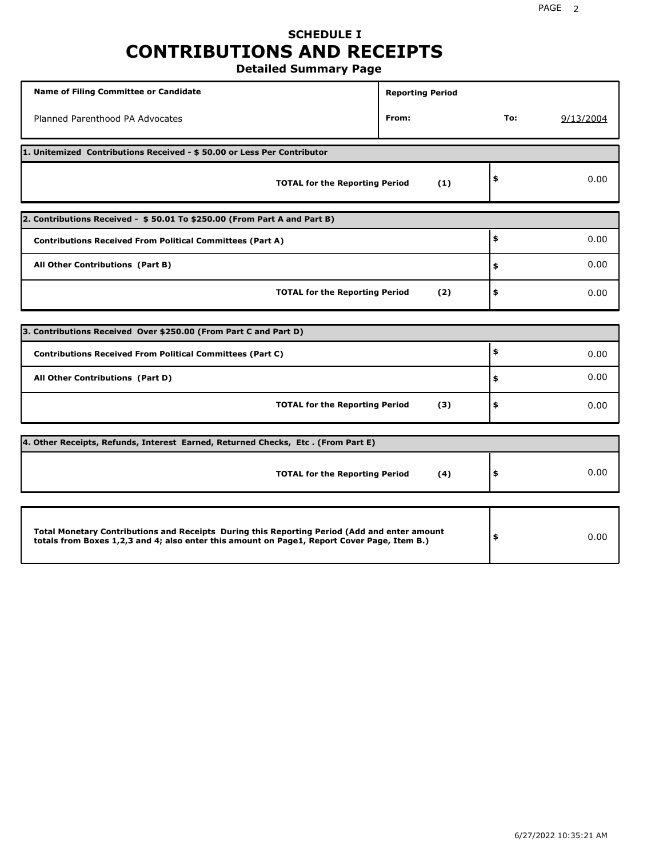# **SCHEDULE I CONTRIBUTIONS AND RECEIPTS**

**Detailed Summary Page**

| <b>Name of Filing Committee or Candidate</b>                                                                                                                                                | <b>Reporting Period</b> |      |           |  |  |  |  |  |  |
|---------------------------------------------------------------------------------------------------------------------------------------------------------------------------------------------|-------------------------|------|-----------|--|--|--|--|--|--|
| Planned Parenthood PA Advocates                                                                                                                                                             | From:                   | To:  | 9/13/2004 |  |  |  |  |  |  |
| 1. Unitemized Contributions Received - \$50.00 or Less Per Contributor                                                                                                                      |                         |      |           |  |  |  |  |  |  |
| <b>TOTAL for the Reporting Period</b>                                                                                                                                                       | (1)                     | \$   | 0.00      |  |  |  |  |  |  |
| 2. Contributions Received - \$50.01 To \$250.00 (From Part A and Part B)                                                                                                                    |                         |      |           |  |  |  |  |  |  |
| <b>Contributions Received From Political Committees (Part A)</b>                                                                                                                            |                         | \$   | 0.00      |  |  |  |  |  |  |
| All Other Contributions (Part B)                                                                                                                                                            | \$                      | 0.00 |           |  |  |  |  |  |  |
| <b>TOTAL for the Reporting Period</b>                                                                                                                                                       | (2)                     | \$   | 0.00      |  |  |  |  |  |  |
|                                                                                                                                                                                             |                         |      |           |  |  |  |  |  |  |
| 3. Contributions Received Over \$250.00 (From Part C and Part D)                                                                                                                            |                         | \$   |           |  |  |  |  |  |  |
| <b>Contributions Received From Political Committees (Part C)</b>                                                                                                                            |                         |      | 0.00      |  |  |  |  |  |  |
| All Other Contributions (Part D)                                                                                                                                                            |                         | \$   | 0.00      |  |  |  |  |  |  |
| <b>TOTAL for the Reporting Period</b>                                                                                                                                                       | (3)                     | \$   | 0.00      |  |  |  |  |  |  |
| 4. Other Receipts, Refunds, Interest Earned, Returned Checks, Etc. (From Part E)                                                                                                            |                         |      |           |  |  |  |  |  |  |
| <b>TOTAL for the Reporting Period</b>                                                                                                                                                       | (4)                     | \$   | 0.00      |  |  |  |  |  |  |
|                                                                                                                                                                                             |                         |      |           |  |  |  |  |  |  |
| Total Monetary Contributions and Receipts During this Reporting Period (Add and enter amount<br>totals from Boxes 1,2,3 and 4; also enter this amount on Page1, Report Cover Page, Item B.) |                         | \$   | 0.00      |  |  |  |  |  |  |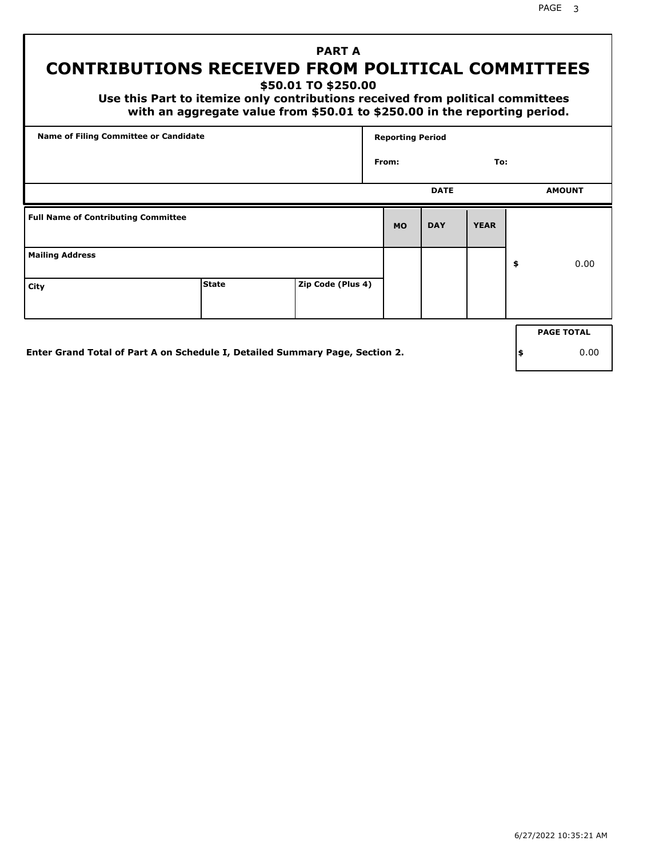PAGE 3

# **PART A CONTRIBUTIONS RECEIVED FROM POLITICAL COMMITTEES**

**\$50.01 TO \$250.00**

 **Use this Part to itemize only contributions received from political committees with an aggregate value from \$50.01 to \$250.00 in the reporting period.**

| Name of Filing Committee or Candidate      |              |                   | <b>Reporting Period</b> |             |             |    |                   |  |
|--------------------------------------------|--------------|-------------------|-------------------------|-------------|-------------|----|-------------------|--|
|                                            |              |                   | From:                   |             | To:         |    |                   |  |
|                                            |              |                   |                         | <b>DATE</b> |             |    | <b>AMOUNT</b>     |  |
| <b>Full Name of Contributing Committee</b> |              |                   | <b>MO</b>               | <b>DAY</b>  | <b>YEAR</b> |    |                   |  |
| <b>Mailing Address</b>                     |              |                   |                         |             |             | \$ | 0.00              |  |
| City                                       | <b>State</b> | Zip Code (Plus 4) |                         |             |             |    |                   |  |
|                                            |              |                   |                         |             |             |    | <b>PAGE TOTAL</b> |  |
|                                            |              |                   |                         |             |             |    |                   |  |

**Enter Grand Total of Part A on Schedule I, Detailed Summary Page, Section 2.**

**\$** 0.00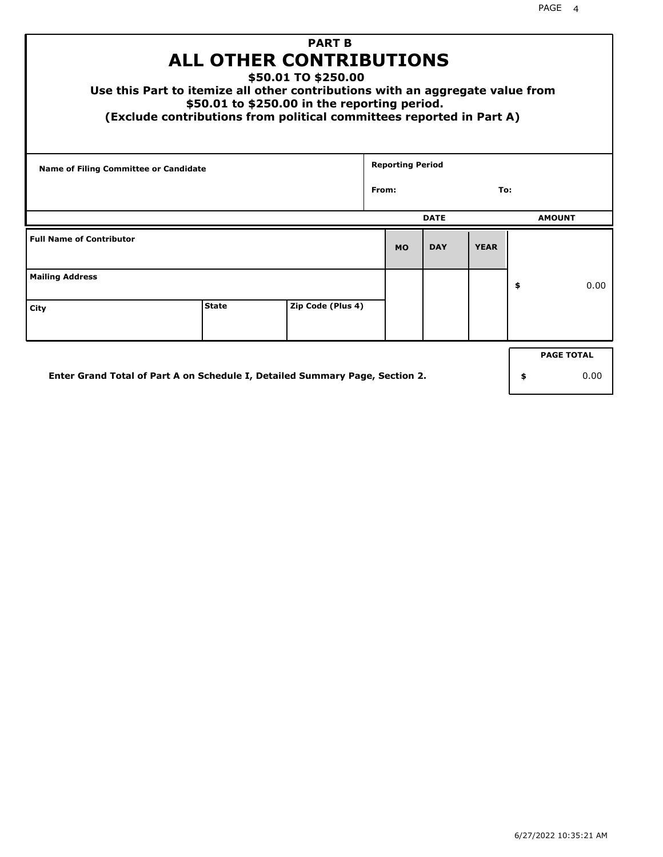| <b>PART B</b><br><b>ALL OTHER CONTRIBUTIONS</b><br>\$50.01 TO \$250.00<br>Use this Part to itemize all other contributions with an aggregate value from<br>\$50.01 to \$250.00 in the reporting period.<br>(Exclude contributions from political committees reported in Part A) |              |                   |       |                         |             |             |    |                   |
|---------------------------------------------------------------------------------------------------------------------------------------------------------------------------------------------------------------------------------------------------------------------------------|--------------|-------------------|-------|-------------------------|-------------|-------------|----|-------------------|
| <b>Name of Filing Committee or Candidate</b>                                                                                                                                                                                                                                    |              |                   | From: | <b>Reporting Period</b> |             | To:         |    |                   |
|                                                                                                                                                                                                                                                                                 |              |                   |       |                         |             |             |    |                   |
|                                                                                                                                                                                                                                                                                 |              |                   |       |                         | <b>DATE</b> |             |    | <b>AMOUNT</b>     |
| <b>Full Name of Contributor</b>                                                                                                                                                                                                                                                 |              |                   |       | <b>MO</b>               | <b>DAY</b>  | <b>YEAR</b> |    |                   |
| <b>Mailing Address</b>                                                                                                                                                                                                                                                          |              |                   |       |                         |             |             | \$ | 0.00              |
| City                                                                                                                                                                                                                                                                            | <b>State</b> | Zip Code (Plus 4) |       |                         |             |             |    |                   |
|                                                                                                                                                                                                                                                                                 |              |                   |       |                         |             |             |    | <b>PAGE TOTAL</b> |
| Enter Grand Total of Part A on Schedule I, Detailed Summary Page, Section 2.                                                                                                                                                                                                    |              |                   |       |                         |             |             | \$ | 0.00              |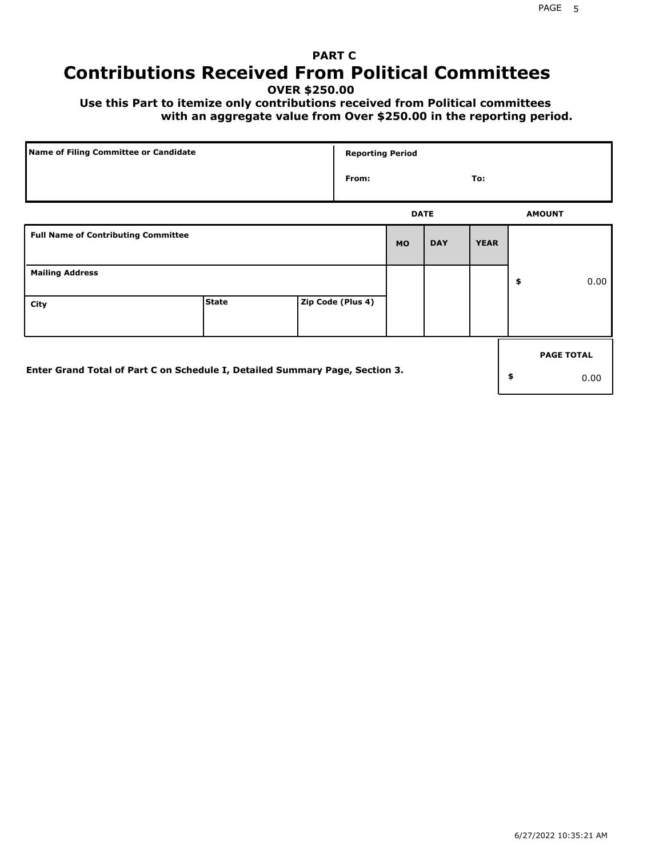# **PART C Contributions Received From Political Committees**

**OVER \$250.00**

 **Use this Part to itemize only contributions received from Political committees with an aggregate value from Over \$250.00 in the reporting period.**

| Name of Filing Committee or Candidate                                        |              | <b>Reporting Period</b> |             |            |             |                   |
|------------------------------------------------------------------------------|--------------|-------------------------|-------------|------------|-------------|-------------------|
|                                                                              |              | From:                   |             |            | To:         |                   |
|                                                                              |              |                         | <b>DATE</b> |            |             | <b>AMOUNT</b>     |
| <b>Full Name of Contributing Committee</b>                                   |              |                         | <b>MO</b>   | <b>DAY</b> | <b>YEAR</b> |                   |
| <b>Mailing Address</b>                                                       |              |                         |             |            |             | \$<br>0.00        |
| City                                                                         | <b>State</b> | Zip Code (Plus 4)       |             |            |             |                   |
|                                                                              |              |                         |             |            |             | <b>PAGE TOTAL</b> |
| Enter Grand Total of Part C on Schedule I, Detailed Summary Page, Section 3. |              |                         |             |            |             | \$<br>0.00        |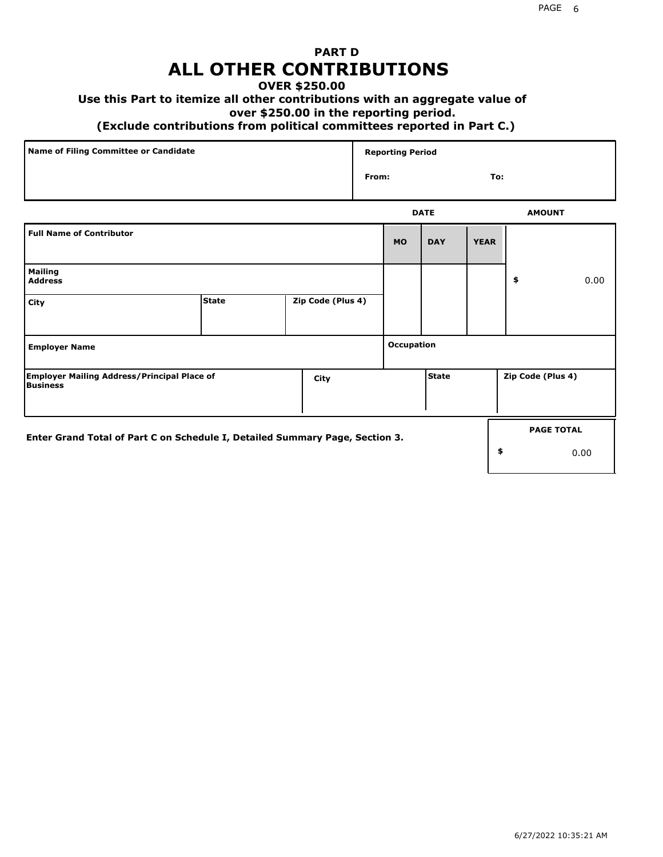## **PART D ALL OTHER CONTRIBUTIONS**

### **OVER \$250.00**

## **Use this Part to itemize all other contributions with an aggregate value of**

#### **over \$250.00 in the reporting period.**

#### **(Exclude contributions from political committees reported in Part C.)**

| Name of Filing Committee or Candidate | <b>Reporting Period</b> |               |
|---------------------------------------|-------------------------|---------------|
|                                       | From:                   | To:           |
|                                       | <b>DATE</b>             | <b>AMOUNT</b> |

|                                                                              |              |                   |            | ----         |             |                   | <b>APPOIT</b>     |
|------------------------------------------------------------------------------|--------------|-------------------|------------|--------------|-------------|-------------------|-------------------|
| <b>Full Name of Contributor</b>                                              |              |                   | <b>MO</b>  | <b>DAY</b>   | <b>YEAR</b> |                   |                   |
| <b>Mailing</b><br><b>Address</b>                                             |              |                   |            |              |             | \$                | 0.00              |
| City                                                                         | <b>State</b> | Zip Code (Plus 4) |            |              |             |                   |                   |
| <b>Employer Name</b>                                                         |              |                   | Occupation |              |             |                   |                   |
| <b>Employer Mailing Address/Principal Place of</b><br>Business               |              | City              |            | <b>State</b> |             | Zip Code (Plus 4) |                   |
| Enter Grand Total of Part C on Schedule I, Detailed Summary Page, Section 3. |              |                   |            |              |             |                   | <b>PAGE TOTAL</b> |
|                                                                              |              |                   |            |              |             | \$                | 0.00              |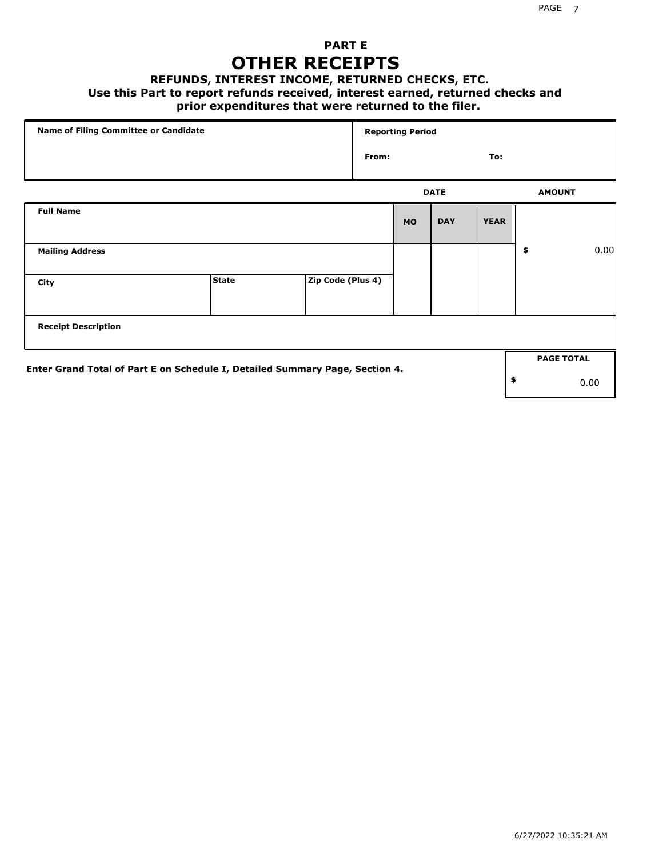## **PART E OTHER RECEIPTS**

#### **REFUNDS, INTEREST INCOME, RETURNED CHECKS, ETC.**

 **Use this Part to report refunds received, interest earned, returned checks and**

## **prior expenditures that were returned to the filer.**

| Name of Filing Committee or Candidate                                        |              |                   |       | <b>Reporting Period</b> |             |             |                   |      |
|------------------------------------------------------------------------------|--------------|-------------------|-------|-------------------------|-------------|-------------|-------------------|------|
|                                                                              |              |                   | From: |                         |             | To:         |                   |      |
|                                                                              |              |                   |       |                         | <b>DATE</b> |             | <b>AMOUNT</b>     |      |
| <b>Full Name</b>                                                             |              |                   |       | <b>MO</b>               | <b>DAY</b>  | <b>YEAR</b> |                   |      |
| <b>Mailing Address</b>                                                       |              |                   |       |                         |             |             | \$                | 0.00 |
| City                                                                         | <b>State</b> | Zip Code (Plus 4) |       |                         |             |             |                   |      |
| <b>Receipt Description</b>                                                   |              |                   |       |                         |             |             |                   |      |
| Enter Grand Total of Part E on Schedule I, Detailed Summary Page, Section 4. |              |                   |       |                         |             |             | <b>PAGE TOTAL</b> |      |
|                                                                              |              |                   |       |                         |             |             | \$                | 0.00 |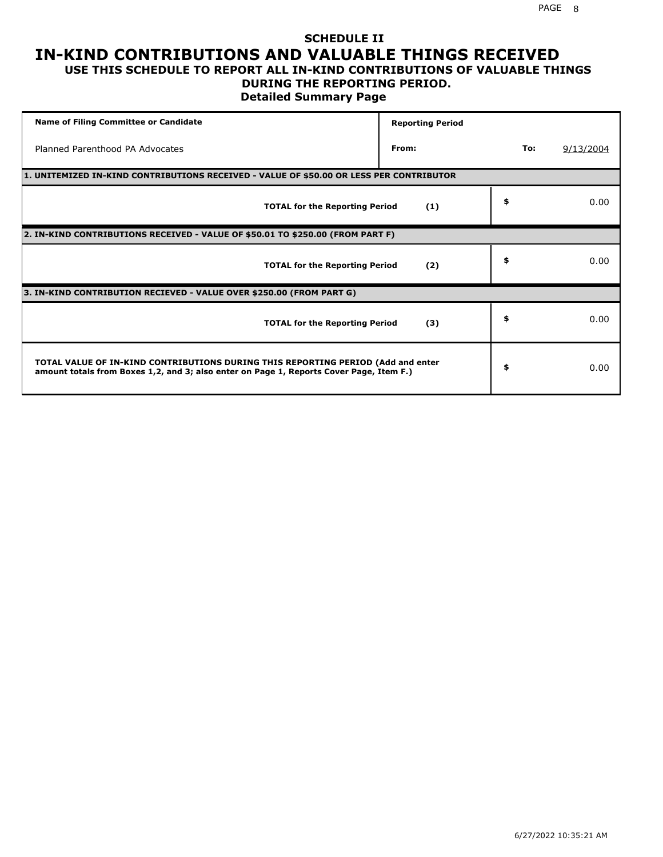#### **SCHEDULE II IN-KIND CONTRIBUTIONS AND VALUABLE THINGS RECEIVED USE THIS SCHEDULE TO REPORT ALL IN-KIND CONTRIBUTIONS OF VALUABLE THINGS**

### **DURING THE REPORTING PERIOD.**

**Detailed Summary Page**

| <b>Name of Filing Committee or Candidate</b>                                                                                                                                | <b>Reporting Period</b> |     |           |
|-----------------------------------------------------------------------------------------------------------------------------------------------------------------------------|-------------------------|-----|-----------|
| Planned Parenthood PA Advocates                                                                                                                                             | From:                   | To: | 9/13/2004 |
| 1. UNITEMIZED IN-KIND CONTRIBUTIONS RECEIVED - VALUE OF \$50.00 OR LESS PER CONTRIBUTOR                                                                                     |                         |     |           |
| <b>TOTAL for the Reporting Period</b>                                                                                                                                       | (1)                     | \$  | 0.00      |
| 2. IN-KIND CONTRIBUTIONS RECEIVED - VALUE OF \$50.01 TO \$250.00 (FROM PART F)                                                                                              |                         |     |           |
| <b>TOTAL for the Reporting Period</b>                                                                                                                                       | (2)                     | \$  | 0.00      |
| 3. IN-KIND CONTRIBUTION RECIEVED - VALUE OVER \$250.00 (FROM PART G)                                                                                                        |                         |     |           |
| <b>TOTAL for the Reporting Period</b>                                                                                                                                       | (3)                     | \$  | 0.00      |
| TOTAL VALUE OF IN-KIND CONTRIBUTIONS DURING THIS REPORTING PERIOD (Add and enter<br>amount totals from Boxes 1,2, and 3; also enter on Page 1, Reports Cover Page, Item F.) |                         | \$  | 0.00      |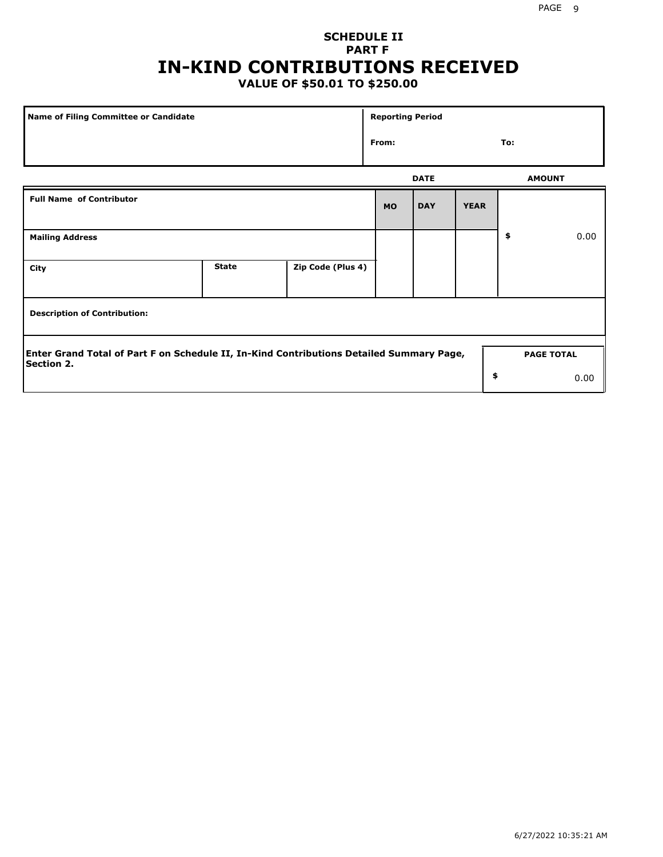# **SCHEDULE II PART F IN-KIND CONTRIBUTIONS RECEIVED**

## **VALUE OF \$50.01 TO \$250.00**

| Name of Filing Committee or Candidate                                                                         |              |                   |           | <b>Reporting Period</b> |             |                   |      |  |  |
|---------------------------------------------------------------------------------------------------------------|--------------|-------------------|-----------|-------------------------|-------------|-------------------|------|--|--|
|                                                                                                               | From:        |                   |           | To:                     |             |                   |      |  |  |
|                                                                                                               |              |                   |           | <b>DATE</b>             |             | <b>AMOUNT</b>     |      |  |  |
| <b>Full Name of Contributor</b>                                                                               |              |                   | <b>MO</b> | <b>DAY</b>              | <b>YEAR</b> |                   |      |  |  |
| <b>Mailing Address</b>                                                                                        |              |                   |           |                         |             | \$                | 0.00 |  |  |
| City                                                                                                          | <b>State</b> | Zip Code (Plus 4) |           |                         |             |                   |      |  |  |
| <b>Description of Contribution:</b>                                                                           |              |                   |           |                         |             |                   |      |  |  |
| Enter Grand Total of Part F on Schedule II, In-Kind Contributions Detailed Summary Page,<br><b>Section 2.</b> |              |                   |           |                         |             | <b>PAGE TOTAL</b> |      |  |  |
|                                                                                                               |              |                   |           |                         | \$          |                   | 0.00 |  |  |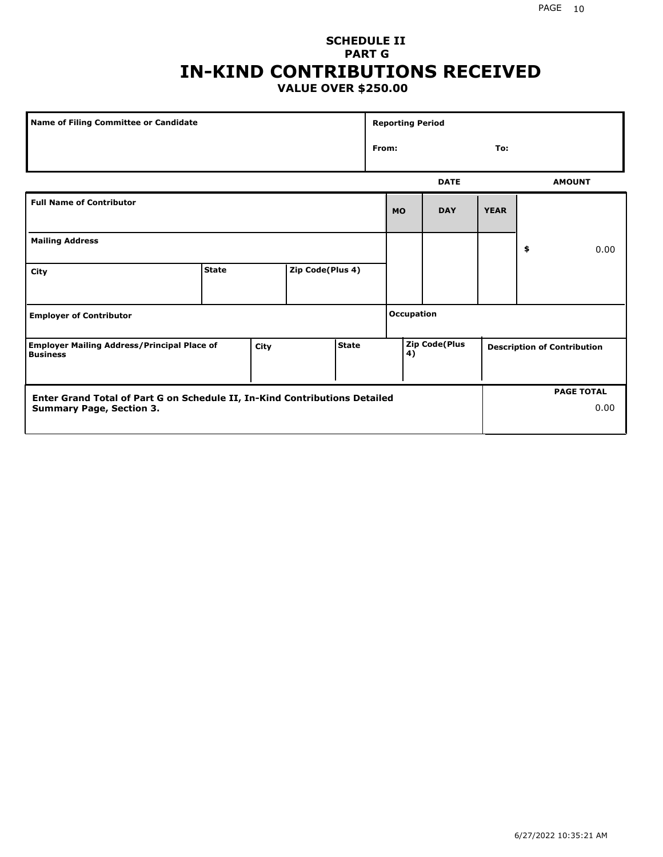### **SCHEDULE II PART G IN-KIND CONTRIBUTIONS RECEIVED VALUE OVER \$250.00**

| Name of Filing Committee or Candidate                                 |              |      |                  | <b>Reporting Period</b> |  |              |                      |             |    |                                    |
|-----------------------------------------------------------------------|--------------|------|------------------|-------------------------|--|--------------|----------------------|-------------|----|------------------------------------|
|                                                                       |              |      |                  |                         |  | From:<br>To: |                      |             |    |                                    |
|                                                                       |              |      |                  |                         |  |              | <b>DATE</b>          |             |    | <b>AMOUNT</b>                      |
| <b>Full Name of Contributor</b>                                       |              |      |                  |                         |  | <b>MO</b>    | <b>DAY</b>           | <b>YEAR</b> |    |                                    |
| <b>Mailing Address</b>                                                |              |      |                  |                         |  |              |                      |             | \$ | 0.00                               |
| City                                                                  | <b>State</b> |      | Zip Code(Plus 4) |                         |  |              |                      |             |    |                                    |
| <b>Employer of Contributor</b>                                        |              |      |                  | <b>Occupation</b>       |  |              |                      |             |    |                                    |
| <b>Employer Mailing Address/Principal Place of</b><br><b>Business</b> |              | City |                  | <b>State</b>            |  | 4)           | <b>Zip Code(Plus</b> |             |    | <b>Description of Contribution</b> |

| <b>Enter Grand Total of Part G on Schedule II, In-Kind Contributions Detailed</b> |  | <b>PAGE TOTAL</b> |
|-----------------------------------------------------------------------------------|--|-------------------|
| <b>Summary Page, Section 3.</b>                                                   |  | 0.00              |
|                                                                                   |  |                   |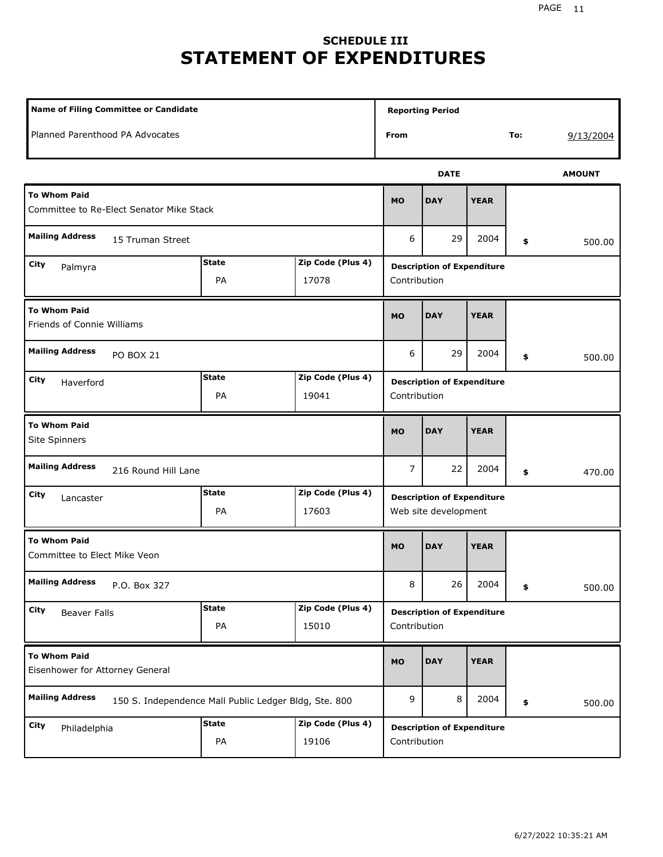# **SCHEDULE III STATEMENT OF EXPENDITURES**

| <b>Name of Filing Committee or Candidate</b>                                    |                    |                            | <b>Reporting Period</b>                                   |             |             |     |               |  |
|---------------------------------------------------------------------------------|--------------------|----------------------------|-----------------------------------------------------------|-------------|-------------|-----|---------------|--|
| Planned Parenthood PA Advocates                                                 |                    |                            | From                                                      |             |             | To: | 9/13/2004     |  |
|                                                                                 |                    |                            |                                                           | <b>DATE</b> |             |     | <b>AMOUNT</b> |  |
| <b>To Whom Paid</b><br>Committee to Re-Elect Senator Mike Stack                 |                    |                            | <b>MO</b>                                                 | <b>DAY</b>  | <b>YEAR</b> |     |               |  |
| <b>Mailing Address</b><br>15 Truman Street                                      |                    |                            | 6                                                         | 29          | 2004        | \$  | 500.00        |  |
| City<br>Palmyra                                                                 | <b>State</b><br>PA | Zip Code (Plus 4)<br>17078 | <b>Description of Expenditure</b><br>Contribution         |             |             |     |               |  |
| <b>To Whom Paid</b><br>Friends of Connie Williams                               |                    |                            | <b>MO</b>                                                 | <b>DAY</b>  | <b>YEAR</b> |     |               |  |
| <b>Mailing Address</b><br><b>PO BOX 21</b>                                      |                    |                            | 6                                                         | 29          | 2004        | \$  | 500.00        |  |
| City<br>Haverford                                                               | <b>State</b><br>PA | Zip Code (Plus 4)<br>19041 | <b>Description of Expenditure</b><br>Contribution         |             |             |     |               |  |
| <b>To Whom Paid</b><br>Site Spinners                                            |                    |                            | <b>MO</b>                                                 | <b>DAY</b>  | <b>YEAR</b> |     |               |  |
| <b>Mailing Address</b><br>216 Round Hill Lane                                   |                    |                            | 7                                                         | 22          | 2004        | \$  | 470.00        |  |
| City<br>Lancaster                                                               | <b>State</b><br>PA | Zip Code (Plus 4)<br>17603 | <b>Description of Expenditure</b><br>Web site development |             |             |     |               |  |
| <b>To Whom Paid</b><br>Committee to Elect Mike Veon                             |                    |                            | <b>MO</b>                                                 | <b>DAY</b>  | <b>YEAR</b> |     |               |  |
| <b>Mailing Address</b><br>P.O. Box 327                                          |                    |                            | 8                                                         | 26          | 2004        | \$  | 500.00        |  |
| City<br><b>Beaver Falls</b>                                                     | <b>State</b><br>PA | Zip Code (Plus 4)<br>15010 | <b>Description of Expenditure</b><br>Contribution         |             |             |     |               |  |
| <b>To Whom Paid</b><br>Eisenhower for Attorney General                          |                    |                            | <b>MO</b>                                                 | <b>DAY</b>  | <b>YEAR</b> |     |               |  |
| <b>Mailing Address</b><br>150 S. Independence Mall Public Ledger Bldg, Ste. 800 |                    |                            | 9                                                         | 8           | 2004        | \$  | 500.00        |  |
| City<br>Philadelphia                                                            | <b>State</b><br>PA | Zip Code (Plus 4)<br>19106 | <b>Description of Expenditure</b><br>Contribution         |             |             |     |               |  |